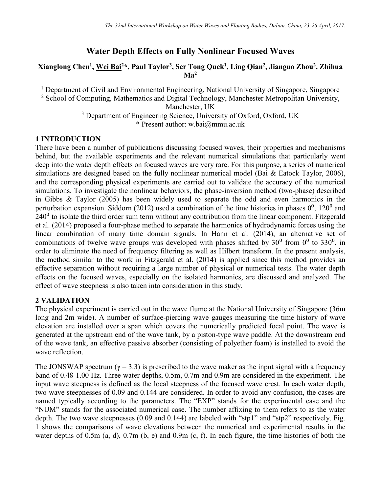# **Water Depth Effects on Fully Nonlinear Focused Waves**

#### **Xianglong Chen<sup>1</sup> , Wei Bai<sup>2</sup>\*, Paul Taylor<sup>3</sup> , Ser Tong Quek<sup>1</sup> , Ling Qian<sup>2</sup> , Jianguo Zhou<sup>2</sup> , Zhihua Ma<sup>2</sup>**

<sup>1</sup> Department of Civil and Environmental Engineering, National University of Singapore, Singapore

<sup>2</sup> School of Computing, Mathematics and Digital Technology, Manchester Metropolitan University, Manchester, UK

> <sup>3</sup> Department of Engineering Science, University of Oxford, Oxford, UK \* Present author: w.bai@mmu.ac.uk

## **1 INTRODUCTION**

There have been a number of publications discussing focused waves, their properties and mechanisms behind, but the available experiments and the relevant numerical simulations that particularly went deep into the water depth effects on focused waves are very rare. For this purpose, a series of numerical simulations are designed based on the fully nonlinear numerical model (Bai & [Eatock Taylor, 2006\)](#page-3-0), and the corresponding physical experiments are carried out to validate the accuracy of the numerical simulations. To investigate the nonlinear behaviors, the phase-inversion method (two-phase) described in Gibbs & [Taylor \(2005\)](#page-3-1) has been widely used to separate the odd and even harmonics in the perturbation expansion. [Siddorn \(2012\)](#page-3-2) used a combination of the time histories in phases  $0^0$ , 120<sup>0</sup> and  $240<sup>o</sup>$  to isolate the third order sum term without any contribution from the linear component. [Fitzgerald](#page-3-3) et al. [\(2014\)](#page-3-3) proposed a four-phase method to separate the harmonics of hydrodynamic forces using the linear combination of many time domain signals. In Hann et al. [\(2014\)](#page-3-4), an alternative set of combinations of twelve wave groups was developed with phases shifted by  $30^{\circ}$  from  $0^{\circ}$  to  $330^{\circ}$ , in order to eliminate the need of frequency filtering as well as Hilbert transform. In the present analysis, the method similar to the work in [Fitzgerald et al. \(2014\)](#page-3-3) is applied since this method provides an effective separation without requiring a large number of physical or numerical tests. The water depth effects on the focused waves, especially on the isolated harmonics, are discussed and analyzed. The effect of wave steepness is also taken into consideration in this study.

## **2 VALIDATION**

The physical experiment is carried out in the wave flume at the National University of Singapore (36m long and 2m wide). A number of surface-piercing wave gauges measuring the time history of wave elevation are installed over a span which covers the numerically predicted focal point. The wave is generated at the upstream end of the wave tank, by a piston-type wave paddle. At the downstream end of the wave tank, an effective passive absorber (consisting of polyether foam) is installed to avoid the wave reflection.

The JONSWAP spectrum ( $\gamma$  = 3.3) is prescribed to the wave maker as the input signal with a frequency band of 0.48-1.00 Hz. Three water depths, 0.5m, 0.7m and 0.9m are considered in the experiment. The input wave steepness is defined as the local steepness of the focused wave crest. In each water depth, two wave steepnesses of 0.09 and 0.144 are considered. In order to avoid any confusion, the cases are named typically according to the parameters. The "EXP" stands for the experimental case and the "NUM" stands for the associated numerical case. The number affixing to them refers to as the water depth. The two wave steepnesses (0.09 and 0.144) are labeled with "stp1" and "stp2" respectively. Fig. 1 shows the comparisons of wave elevations between the numerical and experimental results in the water depths of 0.5m (a, d), 0.7m (b, e) and 0.9m (c, f). In each figure, the time histories of both the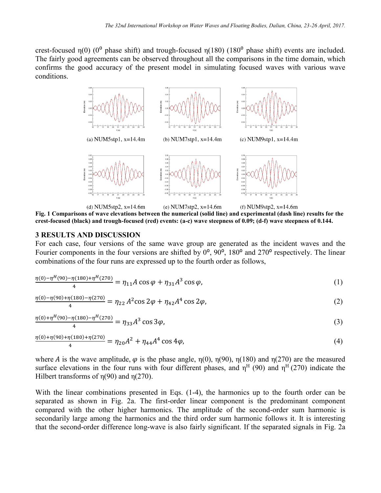crest-focused  $\eta(0)$  (0<sup>o</sup> phase shift) and trough-focused  $\eta(180)$  (180<sup>o</sup> phase shift) events are included. The fairly good agreements can be observed throughout all the comparisons in the time domain, which confirms the good accuracy of the present model in simulating focused waves with various wave conditions.



**Fig. 1 Comparisons of wave elevations between the numerical (solid line) and experimental (dash line) results for the crest-focused (black) and trough-focused (red) events: (a-c) wave steepness of 0.09; (d-f) wave steepness of 0.144.**

#### **3 RESULTS AND DISCUSSION**

For each case, four versions of the same wave group are generated as the incident waves and the Fourier components in the four versions are shifted by  $0^\circ$ ,  $90^\circ$ ,  $180^\circ$  and  $270^\circ$  respectively. The linear combinations of the four runs are expressed up to the fourth order as follows,

$$
\frac{\eta(0) - \eta^H(90) - \eta(180) + \eta^H(270)}{4} = \eta_{11} A \cos \varphi + \eta_{31} A^3 \cos \varphi, \tag{1}
$$

$$
\frac{\eta(0) - \eta(90) + \eta(180) - \eta(270)}{4} = \eta_{22} A^2 \cos 2\varphi + \eta_{42} A^4 \cos 2\varphi, \tag{2}
$$

$$
\frac{\eta(0) + \eta^H(90) - \eta(180) - \eta^H(270)}{4} = \eta_{33}A^3 \cos 3\varphi,\tag{3}
$$

$$
\frac{\eta(0) + \eta(90) + \eta(180) + \eta(270)}{4} = \eta_{20}A^2 + \eta_{44}A^4 \cos 4\varphi,
$$
\n(4)

where A is the wave amplitude,  $\varphi$  is the phase angle,  $\eta(0)$ ,  $\eta(90)$ ,  $\eta(180)$  and  $\eta(270)$  are the measured surface elevations in the four runs with four different phases, and  $\eta^H(90)$  and  $\eta^H(270)$  indicate the Hilbert transforms of  $\eta(90)$  and  $\eta(270)$ .

With the linear combinations presented in Eqs. (1-4), the harmonics up to the fourth order can be separated as shown in Fig. 2a. The first-order linear component is the predominant component compared with the other higher harmonics. The amplitude of the second-order sum harmonic is secondarily large among the harmonics and the third order sum harmonic follows it. It is interesting that the second-order difference long-wave is also fairly significant. If the separated signals in Fig. 2a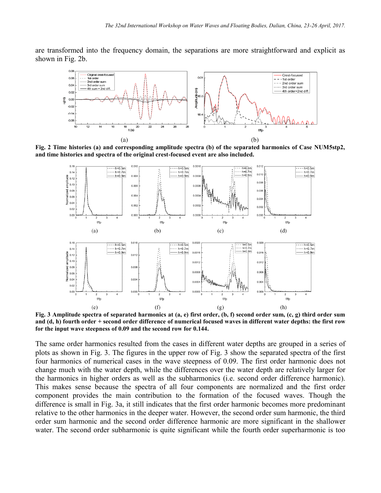are transformed into the frequency domain, the separations are more straightforward and explicit as shown in Fig. 2b.



**Fig. 2 Time histories (a) and corresponding amplitude spectra (b) of the separated harmonics of Case NUM5stp2, and time histories and spectra of the original crest-focused event are also included.**



**Fig. 3 Amplitude spectra of separated harmonics at (a, e) first order, (b, f) second order sum, (c, g) third order sum and (d, h) fourth order + second order difference of numerical focused waves in different water depths: the first row for the input wave steepness of 0.09 and the second row for 0.144.**

The same order harmonics resulted from the cases in different water depths are grouped in a series of plots as shown in Fig. 3. The figures in the upper row of Fig. 3 show the separated spectra of the first four harmonics of numerical cases in the wave steepness of 0.09. The first order harmonic does not change much with the water depth, while the differences over the water depth are relatively larger for the harmonics in higher orders as well as the subharmonics (i.e. second order difference harmonic). This makes sense because the spectra of all four components are normalized and the first order component provides the main contribution to the formation of the focused waves. Though the difference is small in Fig. 3a, it still indicates that the first order harmonic becomes more predominant relative to the other harmonics in the deeper water. However, the second order sum harmonic, the third order sum harmonic and the second order difference harmonic are more significant in the shallower water. The second order subharmonic is quite significant while the fourth order superharmonic is too